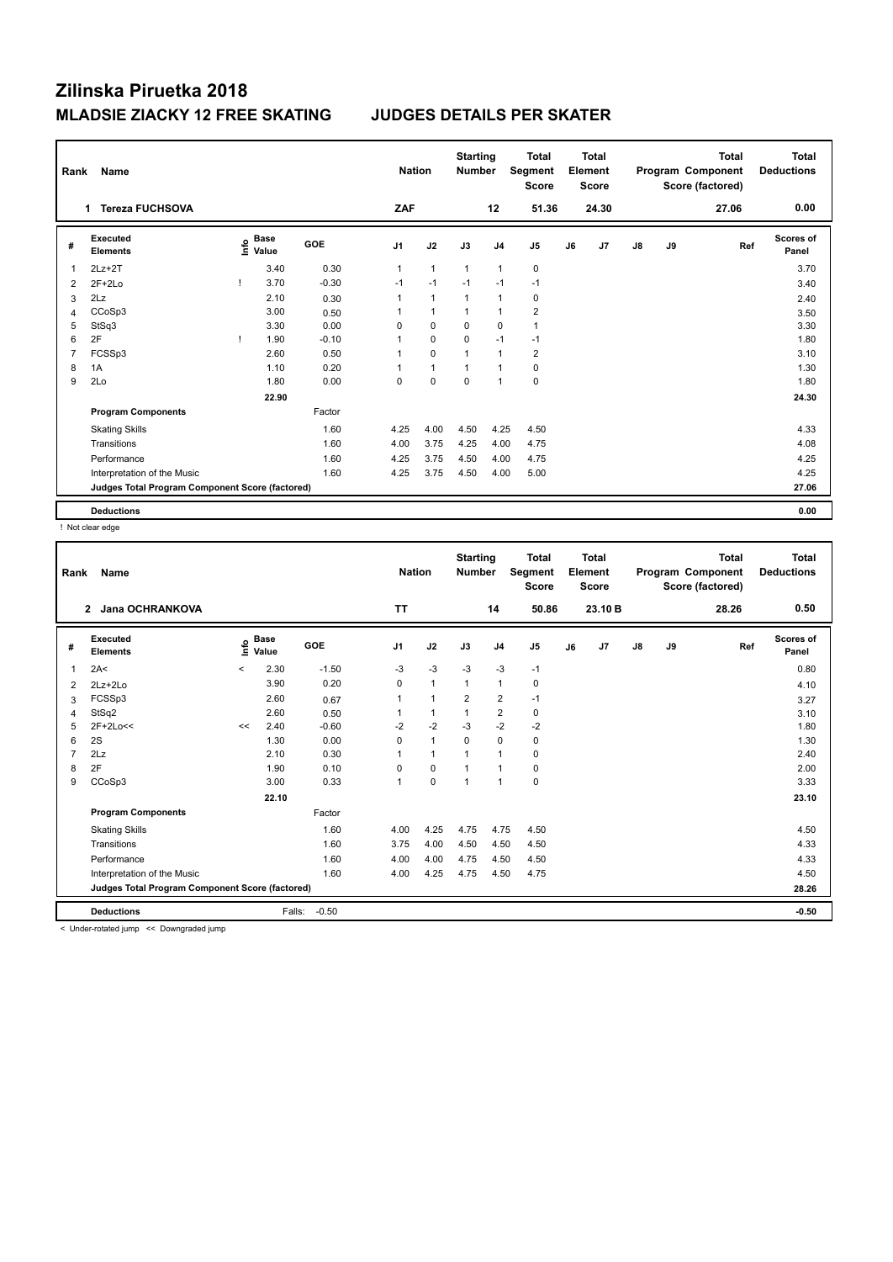| Rank           | Name                                            | <b>Nation</b> |                                           | <b>Starting</b><br><b>Number</b> |                | <b>Total</b><br>Segment<br><b>Score</b> |                | <b>Total</b><br>Element<br><b>Score</b> |                |    | <b>Total</b><br>Program Component<br>Score (factored) | Total<br><b>Deductions</b> |    |       |                           |
|----------------|-------------------------------------------------|---------------|-------------------------------------------|----------------------------------|----------------|-----------------------------------------|----------------|-----------------------------------------|----------------|----|-------------------------------------------------------|----------------------------|----|-------|---------------------------|
|                | <b>Tereza FUCHSOVA</b><br>1                     |               |                                           |                                  | ZAF            |                                         |                | 12                                      | 51.36          |    | 24.30                                                 |                            |    | 27.06 | 0.00                      |
| #              | Executed<br><b>Elements</b>                     |               | $\frac{e}{E}$ Base<br>$\frac{e}{E}$ Value | <b>GOE</b>                       | J <sub>1</sub> | J2                                      | J3             | J <sub>4</sub>                          | J <sub>5</sub> | J6 | J7                                                    | $\mathsf{J}8$              | J9 | Ref   | <b>Scores of</b><br>Panel |
|                | $2Lz+2T$                                        |               | 3.40                                      | 0.30                             | 1              | $\mathbf{1}$                            | $\mathbf{1}$   | $\overline{1}$                          | $\mathbf 0$    |    |                                                       |                            |    |       | 3.70                      |
| $\overline{2}$ | $2F+2Lo$                                        |               | 3.70                                      | $-0.30$                          | $-1$           | $-1$                                    | $-1$           | $-1$                                    | $-1$           |    |                                                       |                            |    |       | 3.40                      |
| 3              | 2Lz                                             |               | 2.10                                      | 0.30                             | 1              | $\mathbf{1}$                            | 1              | $\overline{1}$                          | 0              |    |                                                       |                            |    |       | 2.40                      |
| 4              | CCoSp3                                          |               | 3.00                                      | 0.50                             | 1              | $\mathbf{1}$                            | 1              | $\overline{1}$                          | $\overline{2}$ |    |                                                       |                            |    |       | 3.50                      |
| 5              | StSq3                                           |               | 3.30                                      | 0.00                             | 0              | $\mathbf 0$                             | $\mathbf 0$    | $\mathbf 0$                             | $\mathbf{1}$   |    |                                                       |                            |    |       | 3.30                      |
| 6              | 2F                                              | J.            | 1.90                                      | $-0.10$                          | 1              | $\mathbf 0$                             | $\mathbf 0$    | $-1$                                    | $-1$           |    |                                                       |                            |    |       | 1.80                      |
| 7              | FCSSp3                                          |               | 2.60                                      | 0.50                             | 1              | $\mathbf 0$                             | $\overline{1}$ | $\overline{1}$                          | $\overline{2}$ |    |                                                       |                            |    |       | 3.10                      |
| 8              | 1A                                              |               | 1.10                                      | 0.20                             | 1              | $\mathbf{1}$                            | 1              | -1                                      | 0              |    |                                                       |                            |    |       | 1.30                      |
| 9              | 2Lo                                             |               | 1.80                                      | 0.00                             | 0              | 0                                       | $\mathbf 0$    | $\overline{1}$                          | $\pmb{0}$      |    |                                                       |                            |    |       | 1.80                      |
|                |                                                 |               | 22.90                                     |                                  |                |                                         |                |                                         |                |    |                                                       |                            |    |       | 24.30                     |
|                | <b>Program Components</b>                       |               |                                           | Factor                           |                |                                         |                |                                         |                |    |                                                       |                            |    |       |                           |
|                | <b>Skating Skills</b>                           |               |                                           | 1.60                             | 4.25           | 4.00                                    | 4.50           | 4.25                                    | 4.50           |    |                                                       |                            |    |       | 4.33                      |
|                | Transitions                                     |               |                                           | 1.60                             | 4.00           | 3.75                                    | 4.25           | 4.00                                    | 4.75           |    |                                                       |                            |    |       | 4.08                      |
|                | Performance                                     |               |                                           | 1.60                             | 4.25           | 3.75                                    | 4.50           | 4.00                                    | 4.75           |    |                                                       |                            |    |       | 4.25                      |
|                | Interpretation of the Music                     |               |                                           | 1.60                             | 4.25           | 3.75                                    | 4.50           | 4.00                                    | 5.00           |    |                                                       |                            |    |       | 4.25                      |
|                | Judges Total Program Component Score (factored) |               |                                           |                                  |                |                                         |                |                                         |                |    |                                                       |                            |    |       | 27.06                     |
|                | <b>Deductions</b>                               |               |                                           |                                  |                |                                         |                |                                         |                |    |                                                       |                            |    |       | 0.00                      |

! Not clear edge

| Rank | Name<br><b>Jana OCHRANKOVA</b><br>$\mathbf{2}$  |         |                      |            | <b>Nation</b>  |                | <b>Starting</b><br><b>Number</b> |                | <b>Total</b><br>Segment<br><b>Score</b> |    | <b>Total</b><br>Element<br><b>Score</b> |               |    | <b>Total</b><br>Program Component<br>Score (factored) | Total<br><b>Deductions</b> |
|------|-------------------------------------------------|---------|----------------------|------------|----------------|----------------|----------------------------------|----------------|-----------------------------------------|----|-----------------------------------------|---------------|----|-------------------------------------------------------|----------------------------|
|      |                                                 |         |                      |            | TΤ             |                |                                  | 14             | 50.86                                   |    | 23.10 B                                 |               |    | 28.26                                                 | 0.50                       |
| #    | Executed<br><b>Elements</b>                     | ۴       | <b>Base</b><br>Value | <b>GOE</b> | J <sub>1</sub> | J2             | J3                               | J <sub>4</sub> | J5                                      | J6 | J7                                      | $\mathsf{J}8$ | J9 | Ref                                                   | Scores of<br>Panel         |
| 1    | 2A<                                             | $\prec$ | 2.30                 | $-1.50$    | -3             | $-3$           | $-3$                             | -3             | $-1$                                    |    |                                         |               |    |                                                       | 0.80                       |
| 2    | $2Lz+2Lo$                                       |         | 3.90                 | 0.20       | $\Omega$       | $\mathbf{1}$   | $\overline{1}$                   | $\mathbf{1}$   | $\mathbf 0$                             |    |                                         |               |    |                                                       | 4.10                       |
| 3    | FCSSp3                                          |         | 2.60                 | 0.67       |                | $\overline{1}$ | $\overline{2}$                   | $\overline{2}$ | $-1$                                    |    |                                         |               |    |                                                       | 3.27                       |
| 4    | StSq2                                           |         | 2.60                 | 0.50       |                | $\mathbf{1}$   |                                  | $\overline{2}$ | $\pmb{0}$                               |    |                                         |               |    |                                                       | 3.10                       |
| 5    | 2F+2Lo<<                                        | <<      | 2.40                 | $-0.60$    | $-2$           | $-2$           | $-3$                             | $-2$           | $-2$                                    |    |                                         |               |    |                                                       | 1.80                       |
| 6    | 2S                                              |         | 1.30                 | 0.00       | 0              | $\mathbf{1}$   | $\mathbf 0$                      | $\mathbf 0$    | $\pmb{0}$                               |    |                                         |               |    |                                                       | 1.30                       |
| 7    | 2Lz                                             |         | 2.10                 | 0.30       |                | $\mathbf{1}$   |                                  | $\overline{1}$ | $\mathbf 0$                             |    |                                         |               |    |                                                       | 2.40                       |
| 8    | 2F                                              |         | 1.90                 | 0.10       | $\mathbf 0$    | $\mathbf 0$    |                                  | $\mathbf{1}$   | $\pmb{0}$                               |    |                                         |               |    |                                                       | 2.00                       |
| 9    | CCoSp3                                          |         | 3.00                 | 0.33       | $\overline{1}$ | 0              | 1                                | $\overline{1}$ | $\pmb{0}$                               |    |                                         |               |    |                                                       | 3.33                       |
|      |                                                 |         | 22.10                |            |                |                |                                  |                |                                         |    |                                         |               |    |                                                       | 23.10                      |
|      | <b>Program Components</b>                       |         |                      | Factor     |                |                |                                  |                |                                         |    |                                         |               |    |                                                       |                            |
|      | <b>Skating Skills</b>                           |         |                      | 1.60       | 4.00           | 4.25           | 4.75                             | 4.75           | 4.50                                    |    |                                         |               |    |                                                       | 4.50                       |
|      | Transitions                                     |         |                      | 1.60       | 3.75           | 4.00           | 4.50                             | 4.50           | 4.50                                    |    |                                         |               |    |                                                       | 4.33                       |
|      | Performance                                     |         |                      | 1.60       | 4.00           | 4.00           | 4.75                             | 4.50           | 4.50                                    |    |                                         |               |    |                                                       | 4.33                       |
|      | Interpretation of the Music                     |         |                      | 1.60       | 4.00           | 4.25           | 4.75                             | 4.50           | 4.75                                    |    |                                         |               |    |                                                       | 4.50                       |
|      | Judges Total Program Component Score (factored) |         |                      |            |                |                |                                  |                |                                         |    |                                         |               |    |                                                       | 28.26                      |
|      | <b>Deductions</b>                               |         | Falls:               | $-0.50$    |                |                |                                  |                |                                         |    |                                         |               |    |                                                       | $-0.50$                    |

< Under-rotated jump << Downgraded jump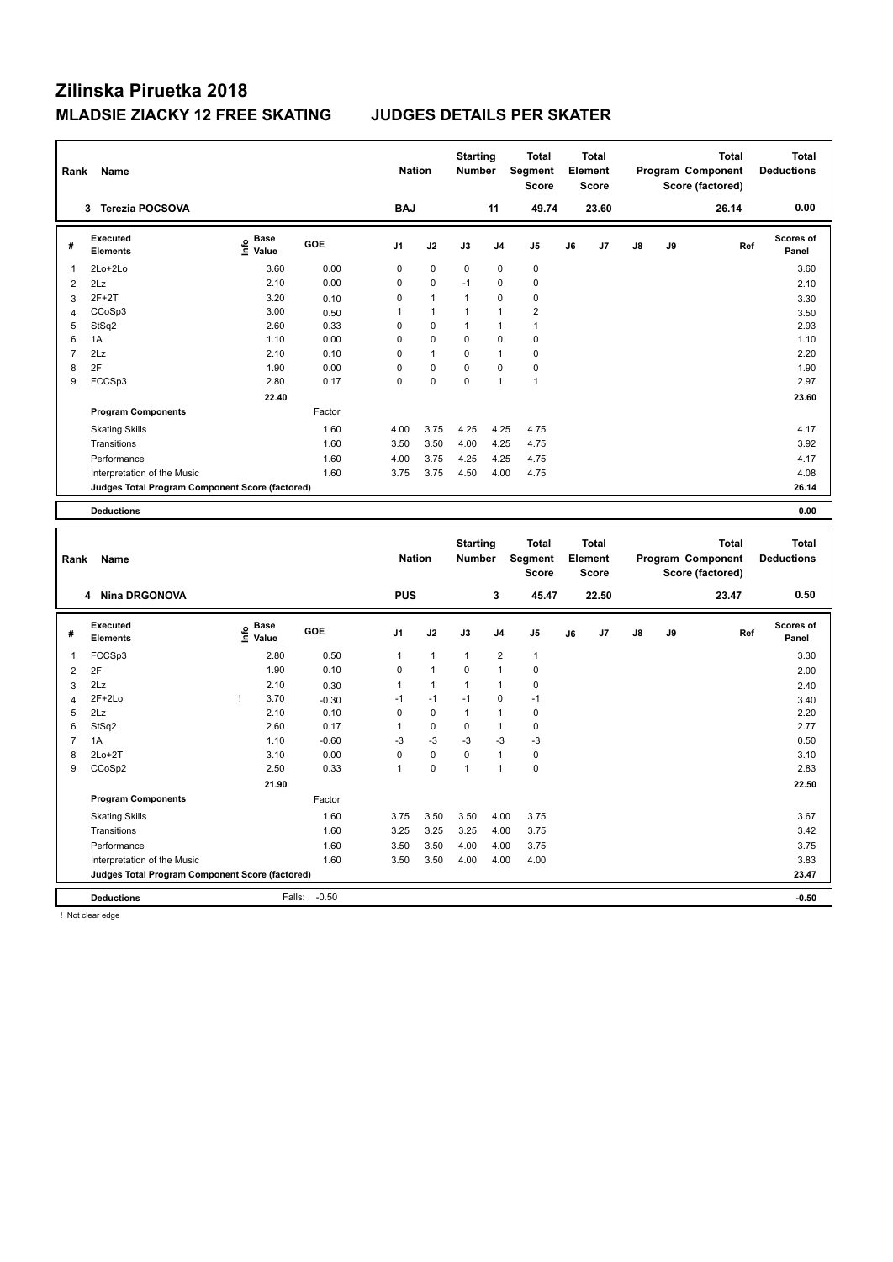| Rank           | Name                                            |                                           |         |                | <b>Nation</b> | <b>Starting</b><br>Number |                | <b>Total</b><br>Segment<br><b>Score</b> |    | Total<br>Element<br><b>Score</b> |    |    | <b>Total</b><br>Program Component<br>Score (factored) |     | <b>Total</b><br><b>Deductions</b> |
|----------------|-------------------------------------------------|-------------------------------------------|---------|----------------|---------------|---------------------------|----------------|-----------------------------------------|----|----------------------------------|----|----|-------------------------------------------------------|-----|-----------------------------------|
|                | 3 Terezia POCSOVA                               |                                           |         | <b>BAJ</b>     |               |                           | 11             | 49.74                                   |    | 23.60                            |    |    | 26.14                                                 |     | 0.00                              |
| #              | Executed<br><b>Elements</b>                     | $\frac{e}{E}$ Base<br>$\frac{E}{E}$ Value | GOE     | J1             | J2            | J3                        | J4             | J <sub>5</sub>                          | J6 | J7                               | J8 | J9 |                                                       | Ref | Scores of<br>Panel                |
| $\overline{1}$ | 2Lo+2Lo                                         | 3.60                                      | 0.00    | $\mathbf 0$    | $\mathbf 0$   | 0                         | 0              | $\mathbf 0$                             |    |                                  |    |    |                                                       |     | 3.60                              |
| $\overline{2}$ | 2Lz                                             | 2.10                                      | 0.00    | $\mathbf 0$    | 0             | $-1$                      | 0              | $\mathbf 0$                             |    |                                  |    |    |                                                       |     | 2.10                              |
| 3              | $2F+2T$                                         | 3.20                                      | 0.10    | $\mathbf 0$    | $\mathbf{1}$  | $\mathbf{1}$              | 0              | $\mathbf 0$                             |    |                                  |    |    |                                                       |     | 3.30                              |
| $\overline{4}$ | CCoSp3                                          | 3.00                                      | 0.50    | $\mathbf{1}$   | $\mathbf{1}$  | $\mathbf{1}$              | $\mathbf{1}$   | $\overline{2}$                          |    |                                  |    |    |                                                       |     | 3.50                              |
| 5              | StSq2                                           | 2.60                                      | 0.33    | 0              | $\mathbf 0$   | 1                         | 1              | $\mathbf{1}$                            |    |                                  |    |    |                                                       |     | 2.93                              |
| 6              | 1A                                              | 1.10                                      | 0.00    | $\mathbf 0$    | 0             | 0                         | $\mathbf 0$    | $\pmb{0}$                               |    |                                  |    |    |                                                       |     | 1.10                              |
| $\overline{7}$ | 2Lz                                             | 2.10                                      | 0.10    | $\mathbf 0$    | $\mathbf{1}$  | 0                         | $\mathbf{1}$   | $\pmb{0}$                               |    |                                  |    |    |                                                       |     | 2.20                              |
| 8              | 2F                                              | 1.90                                      | 0.00    | $\mathbf 0$    | 0             | 0                         | $\mathbf 0$    | $\pmb{0}$                               |    |                                  |    |    |                                                       |     | 1.90                              |
| 9              | FCCSp3                                          | 2.80                                      | 0.17    | $\mathbf 0$    | $\mathbf 0$   | 0                         | $\mathbf{1}$   | $\overline{1}$                          |    |                                  |    |    |                                                       |     | 2.97                              |
|                |                                                 | 22.40                                     |         |                |               |                           |                |                                         |    |                                  |    |    |                                                       |     | 23.60                             |
|                | <b>Program Components</b>                       |                                           | Factor  |                |               |                           |                |                                         |    |                                  |    |    |                                                       |     |                                   |
|                | <b>Skating Skills</b>                           |                                           | 1.60    | 4.00           | 3.75          | 4.25                      | 4.25           | 4.75                                    |    |                                  |    |    |                                                       |     | 4.17                              |
|                | Transitions                                     |                                           | 1.60    | 3.50           | 3.50          | 4.00                      | 4.25           | 4.75                                    |    |                                  |    |    |                                                       |     | 3.92                              |
|                | Performance                                     |                                           | 1.60    | 4.00           | 3.75          | 4.25                      | 4.25           | 4.75                                    |    |                                  |    |    |                                                       |     | 4.17                              |
|                | Interpretation of the Music                     |                                           | 1.60    | 3.75           | 3.75          | 4.50                      | 4.00           | 4.75                                    |    |                                  |    |    |                                                       |     | 4.08                              |
|                | Judges Total Program Component Score (factored) |                                           |         |                |               |                           |                |                                         |    |                                  |    |    |                                                       |     | 26.14                             |
|                |                                                 |                                           |         |                |               |                           |                |                                         |    |                                  |    |    |                                                       |     |                                   |
|                | <b>Deductions</b>                               |                                           |         |                |               |                           |                |                                         |    |                                  |    |    |                                                       |     | 0.00                              |
|                |                                                 |                                           |         |                |               |                           |                |                                         |    |                                  |    |    |                                                       |     |                                   |
|                |                                                 |                                           |         |                |               |                           |                |                                         |    |                                  |    |    |                                                       |     |                                   |
|                |                                                 |                                           |         |                |               | <b>Starting</b>           |                | <b>Total</b>                            |    | <b>Total</b>                     |    |    | <b>Total</b>                                          |     | <b>Total</b>                      |
| Rank           | Name                                            |                                           |         |                | <b>Nation</b> | <b>Number</b>             |                | Segment                                 |    | Element                          |    |    | Program Component                                     |     | <b>Deductions</b>                 |
|                |                                                 |                                           |         |                |               |                           |                | <b>Score</b>                            |    | <b>Score</b>                     |    |    | Score (factored)                                      |     |                                   |
|                | <b>Nina DRGONOVA</b><br>4                       |                                           |         | <b>PUS</b>     |               |                           | 3              | 45.47                                   |    | 22.50                            |    |    | 23.47                                                 |     | 0.50                              |
|                | Executed                                        |                                           |         |                |               |                           |                |                                         |    |                                  |    |    |                                                       |     | <b>Scores of</b>                  |
| #              | <b>Elements</b>                                 | $\overset{\circ}{\text{E}}$ Value         | GOE     | J1             | J2            | J3                        | J4             | J <sub>5</sub>                          | J6 | J7                               | J8 | J9 |                                                       | Ref | Panel                             |
| $\overline{1}$ | FCCSp3                                          | 2.80                                      | 0.50    | 1              | $\mathbf{1}$  | $\mathbf{1}$              | $\overline{2}$ | $\overline{1}$                          |    |                                  |    |    |                                                       |     | 3.30                              |
| $\overline{2}$ | 2F                                              | 1.90                                      | 0.10    | $\mathbf 0$    | $\mathbf{1}$  | 0                         | 1              | $\mathbf 0$                             |    |                                  |    |    |                                                       |     | 2.00                              |
| 3              | 2Lz                                             | 2.10                                      | 0.30    | 1              | $\mathbf{1}$  | 1                         | 1              | $\pmb{0}$                               |    |                                  |    |    |                                                       |     | 2.40                              |
| $\overline{4}$ | $2F+2Lo$                                        | Ţ<br>3.70                                 | $-0.30$ | $-1$           | $-1$          | $-1$                      | 0              | $-1$                                    |    |                                  |    |    |                                                       |     | 3.40                              |
| 5              | 2Lz                                             | 2.10                                      | 0.10    | $\mathbf 0$    | 0             | $\mathbf{1}$              | 1              | $\mathbf 0$                             |    |                                  |    |    |                                                       |     | 2.20                              |
| 6              | StSq2                                           | 2.60                                      | 0.17    | $\mathbf{1}$   | 0             | 0                         | 1              | $\mathbf 0$                             |    |                                  |    |    |                                                       |     | 2.77                              |
| $\overline{7}$ | 1A                                              | 1.10                                      | $-0.60$ | $-3$           | $-3$          | -3                        | $-3$           | $-3$                                    |    |                                  |    |    |                                                       |     | 0.50                              |
| 8              | $2Lo+2T$                                        | 3.10                                      | 0.00    | $\overline{0}$ | $\mathbf 0$   | $\mathbf 0$               | 1              | $\mathbf 0$                             |    |                                  |    |    |                                                       |     | 3.10                              |
| 9              | CCoSp2                                          | 2.50                                      | 0.33    | $\mathbf{1}$   | $\mathbf 0$   | $\mathbf{1}$              | $\mathbf{1}$   | $\pmb{0}$                               |    |                                  |    |    |                                                       |     | 2.83                              |
|                |                                                 | 21.90                                     |         |                |               |                           |                |                                         |    |                                  |    |    |                                                       |     | 22.50                             |
|                | <b>Program Components</b>                       |                                           | Factor  |                |               |                           |                |                                         |    |                                  |    |    |                                                       |     |                                   |
|                | <b>Skating Skills</b>                           |                                           | 1.60    | 3.75           | 3.50          | 3.50                      | 4.00           | 3.75                                    |    |                                  |    |    |                                                       |     | 3.67                              |
|                | Transitions                                     |                                           | 1.60    | 3.25           | 3.25          | 3.25                      | 4.00           | 3.75                                    |    |                                  |    |    |                                                       |     | 3.42                              |
|                | Performance                                     |                                           | 1.60    | 3.50           | 3.50          | 4.00                      | 4.00           | 3.75                                    |    |                                  |    |    |                                                       |     | 3.75                              |
|                | Interpretation of the Music                     |                                           | 1.60    | 3.50           | 3.50          | 4.00                      | 4.00           | 4.00                                    |    |                                  |    |    |                                                       |     | 3.83                              |
|                | Judges Total Program Component Score (factored) |                                           |         |                |               |                           |                |                                         |    |                                  |    |    |                                                       |     | 23.47                             |

! Not clear edge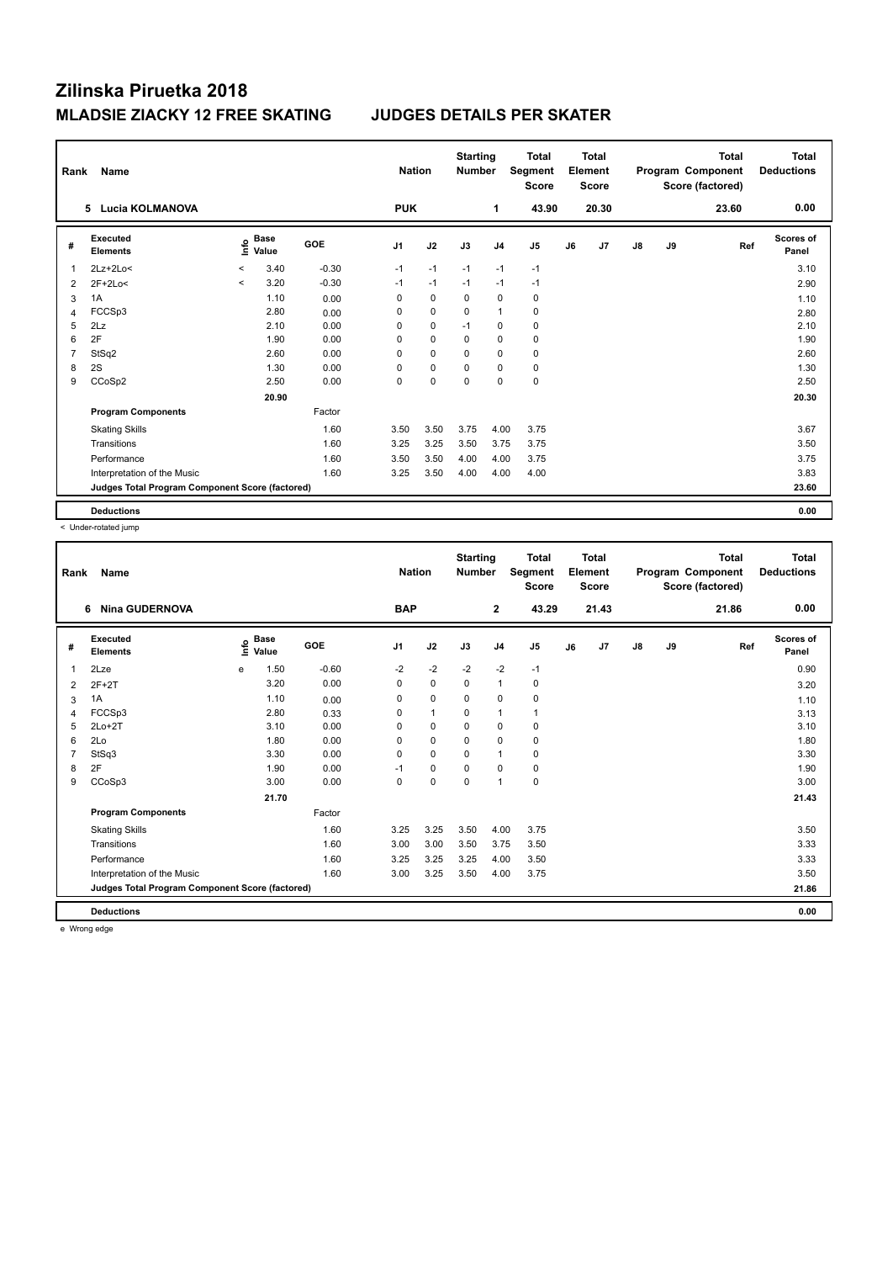| Rank           | Name<br>5 Lucia KOLMANOVA                       |              |                      |            | <b>Nation</b>  |             | <b>Starting</b><br><b>Number</b> |                | <b>Total</b><br>Segment<br><b>Score</b> |    | <b>Total</b><br>Element<br><b>Score</b> |               |    | Total<br>Program Component<br>Score (factored) | Total<br><b>Deductions</b> |
|----------------|-------------------------------------------------|--------------|----------------------|------------|----------------|-------------|----------------------------------|----------------|-----------------------------------------|----|-----------------------------------------|---------------|----|------------------------------------------------|----------------------------|
|                |                                                 |              |                      |            | <b>PUK</b>     |             |                                  | $\mathbf 1$    | 43.90                                   |    | 20.30                                   |               |    | 23.60                                          | 0.00                       |
| #              | <b>Executed</b><br><b>Elements</b>              | <u>info</u>  | <b>Base</b><br>Value | <b>GOE</b> | J <sub>1</sub> | J2          | J3                               | J <sub>4</sub> | J <sub>5</sub>                          | J6 | J7                                      | $\mathsf{J}8$ | J9 | Ref                                            | <b>Scores of</b><br>Panel  |
|                | $2Lz+2Lo<$                                      | $\checkmark$ | 3.40                 | $-0.30$    | $-1$           | $-1$        | $-1$                             | $-1$           | $-1$                                    |    |                                         |               |    |                                                | 3.10                       |
| $\overline{2}$ | $2F+2Lo<$                                       | $\prec$      | 3.20                 | $-0.30$    | $-1$           | $-1$        | $-1$                             | $-1$           | $-1$                                    |    |                                         |               |    |                                                | 2.90                       |
| 3              | 1A                                              |              | 1.10                 | 0.00       | 0              | $\mathbf 0$ | $\Omega$                         | $\mathbf 0$    | 0                                       |    |                                         |               |    |                                                | 1.10                       |
| 4              | FCCSp3                                          |              | 2.80                 | 0.00       | 0              | 0           | $\mathbf 0$                      | $\overline{1}$ | $\pmb{0}$                               |    |                                         |               |    |                                                | 2.80                       |
| 5              | 2Lz                                             |              | 2.10                 | 0.00       | 0              | $\mathbf 0$ | $-1$                             | $\mathbf 0$    | 0                                       |    |                                         |               |    |                                                | 2.10                       |
| 6              | 2F                                              |              | 1.90                 | 0.00       | 0              | $\pmb{0}$   | $\Omega$                         | 0              | 0                                       |    |                                         |               |    |                                                | 1.90                       |
| 7              | StSq2                                           |              | 2.60                 | 0.00       | 0              | $\mathbf 0$ | $\Omega$                         | $\mathbf 0$    | 0                                       |    |                                         |               |    |                                                | 2.60                       |
| 8              | 2S                                              |              | 1.30                 | 0.00       | 0              | $\pmb{0}$   | 0                                | $\Omega$       | 0                                       |    |                                         |               |    |                                                | 1.30                       |
| 9              | CCoSp2                                          |              | 2.50                 | 0.00       | 0              | $\mathbf 0$ | 0                                | 0              | $\pmb{0}$                               |    |                                         |               |    |                                                | 2.50                       |
|                |                                                 |              | 20.90                |            |                |             |                                  |                |                                         |    |                                         |               |    |                                                | 20.30                      |
|                | <b>Program Components</b>                       |              |                      | Factor     |                |             |                                  |                |                                         |    |                                         |               |    |                                                |                            |
|                | <b>Skating Skills</b>                           |              |                      | 1.60       | 3.50           | 3.50        | 3.75                             | 4.00           | 3.75                                    |    |                                         |               |    |                                                | 3.67                       |
|                | Transitions                                     |              |                      | 1.60       | 3.25           | 3.25        | 3.50                             | 3.75           | 3.75                                    |    |                                         |               |    |                                                | 3.50                       |
|                | Performance                                     |              |                      | 1.60       | 3.50           | 3.50        | 4.00                             | 4.00           | 3.75                                    |    |                                         |               |    |                                                | 3.75                       |
|                | Interpretation of the Music                     |              |                      | 1.60       | 3.25           | 3.50        | 4.00                             | 4.00           | 4.00                                    |    |                                         |               |    |                                                | 3.83                       |
|                | Judges Total Program Component Score (factored) |              |                      |            |                |             |                                  |                |                                         |    |                                         |               |    |                                                | 23.60                      |
|                | <b>Deductions</b>                               |              |                      |            |                |             |                                  |                |                                         |    |                                         |               |    |                                                | 0.00                       |

< Under-rotated jump

| Rank | Name                                            | <b>Nation</b>                    |         | <b>Starting</b><br><b>Number</b> |              | <b>Total</b><br>Segment<br><b>Score</b> |                | <b>Total</b><br>Element<br><b>Score</b> |    |       | <b>Total</b><br>Program Component<br>Score (factored) | <b>Total</b><br><b>Deductions</b> |       |                    |
|------|-------------------------------------------------|----------------------------------|---------|----------------------------------|--------------|-----------------------------------------|----------------|-----------------------------------------|----|-------|-------------------------------------------------------|-----------------------------------|-------|--------------------|
|      | <b>Nina GUDERNOVA</b><br>6                      |                                  |         | <b>BAP</b>                       |              |                                         | $\mathbf{2}$   | 43.29                                   |    | 21.43 |                                                       |                                   | 21.86 | 0.00               |
| #    | Executed<br><b>Elements</b>                     | <b>Base</b><br>e Base<br>⊆ Value | GOE     | J <sub>1</sub>                   | J2           | J3                                      | J <sub>4</sub> | J5                                      | J6 | J7    | $\mathsf{J}8$                                         | J9                                | Ref   | Scores of<br>Panel |
| 1    | 2Lze                                            | 1.50<br>e                        | $-0.60$ | $-2$                             | $-2$         | $-2$                                    | $-2$           | $-1$                                    |    |       |                                                       |                                   |       | 0.90               |
| 2    | $2F+2T$                                         | 3.20                             | 0.00    | 0                                | $\mathbf 0$  | $\mathbf 0$                             | $\mathbf{1}$   | $\pmb{0}$                               |    |       |                                                       |                                   |       | 3.20               |
| 3    | 1A                                              | 1.10                             | 0.00    | 0                                | $\pmb{0}$    | $\mathbf 0$                             | 0              | 0                                       |    |       |                                                       |                                   |       | 1.10               |
| 4    | FCCSp3                                          | 2.80                             | 0.33    | 0                                | $\mathbf{1}$ | 0                                       | $\mathbf{1}$   | $\mathbf{1}$                            |    |       |                                                       |                                   |       | 3.13               |
| 5    | $2Lo+2T$                                        | 3.10                             | 0.00    | $\mathbf 0$                      | $\mathbf 0$  | $\mathbf 0$                             | $\mathbf 0$    | $\pmb{0}$                               |    |       |                                                       |                                   |       | 3.10               |
| 6    | 2Lo                                             | 1.80                             | 0.00    | $\Omega$                         | $\mathbf 0$  | $\mathbf 0$                             | $\mathbf 0$    | $\mathbf 0$                             |    |       |                                                       |                                   |       | 1.80               |
|      | StSq3                                           | 3.30                             | 0.00    | 0                                | 0            | $\Omega$                                | $\mathbf{1}$   | 0                                       |    |       |                                                       |                                   |       | 3.30               |
| 8    | 2F                                              | 1.90                             | 0.00    | $-1$                             | 0            | $\Omega$                                | 0              | 0                                       |    |       |                                                       |                                   |       | 1.90               |
| 9    | CCoSp3                                          | 3.00                             | 0.00    | 0                                | $\mathbf 0$  | $\mathbf 0$                             | $\mathbf{1}$   | $\mathbf 0$                             |    |       |                                                       |                                   |       | 3.00               |
|      |                                                 | 21.70                            |         |                                  |              |                                         |                |                                         |    |       |                                                       |                                   |       | 21.43              |
|      | <b>Program Components</b>                       |                                  | Factor  |                                  |              |                                         |                |                                         |    |       |                                                       |                                   |       |                    |
|      | <b>Skating Skills</b>                           |                                  | 1.60    | 3.25                             | 3.25         | 3.50                                    | 4.00           | 3.75                                    |    |       |                                                       |                                   |       | 3.50               |
|      | Transitions                                     |                                  | 1.60    | 3.00                             | 3.00         | 3.50                                    | 3.75           | 3.50                                    |    |       |                                                       |                                   |       | 3.33               |
|      | Performance                                     |                                  | 1.60    | 3.25                             | 3.25         | 3.25                                    | 4.00           | 3.50                                    |    |       |                                                       |                                   |       | 3.33               |
|      | Interpretation of the Music                     |                                  | 1.60    | 3.00                             | 3.25         | 3.50                                    | 4.00           | 3.75                                    |    |       |                                                       |                                   |       | 3.50               |
|      | Judges Total Program Component Score (factored) |                                  |         |                                  |              |                                         |                |                                         |    |       |                                                       |                                   |       | 21.86              |
|      | <b>Deductions</b>                               |                                  |         |                                  |              |                                         |                |                                         |    |       |                                                       |                                   |       | 0.00               |

e Wrong edge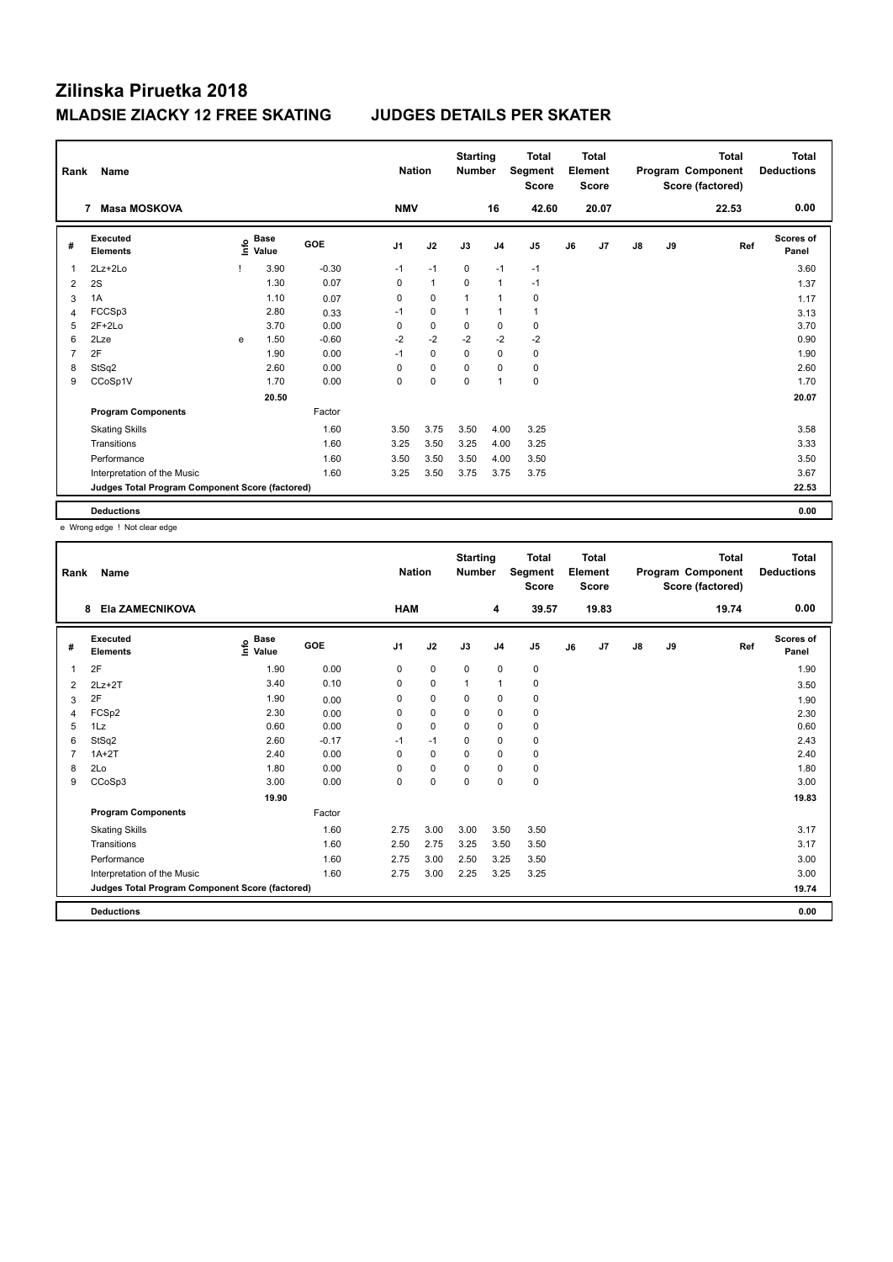| Rank           | Name                                            | <b>Nation</b> |                      | <b>Starting</b><br><b>Number</b> |                | <b>Total</b><br>Segment<br><b>Score</b> |             | <b>Total</b><br>Element<br><b>Score</b> |                |    | <b>Total</b><br>Program Component<br>Score (factored) | Total<br><b>Deductions</b> |    |       |                    |
|----------------|-------------------------------------------------|---------------|----------------------|----------------------------------|----------------|-----------------------------------------|-------------|-----------------------------------------|----------------|----|-------------------------------------------------------|----------------------------|----|-------|--------------------|
|                | <b>Masa MOSKOVA</b><br>7                        |               |                      |                                  | <b>NMV</b>     |                                         |             | 16                                      | 42.60          |    | 20.07                                                 |                            |    | 22.53 | 0.00               |
| #              | Executed<br><b>Elements</b>                     | ١nfo          | <b>Base</b><br>Value | <b>GOE</b>                       | J <sub>1</sub> | J2                                      | J3          | J <sub>4</sub>                          | J <sub>5</sub> | J6 | J7                                                    | $\mathsf{J}8$              | J9 | Ref   | Scores of<br>Panel |
| 1              | $2Lz + 2Lo$                                     |               | 3.90                 | $-0.30$                          | $-1$           | $-1$                                    | $\mathbf 0$ | $-1$                                    | $-1$           |    |                                                       |                            |    |       | 3.60               |
| $\overline{2}$ | 2S                                              |               | 1.30                 | 0.07                             | 0              | $\mathbf{1}$                            | 0           | $\overline{1}$                          | $-1$           |    |                                                       |                            |    |       | 1.37               |
| 3              | 1A                                              |               | 1.10                 | 0.07                             | 0              | $\mathbf 0$                             | 1           | $\overline{1}$                          | $\pmb{0}$      |    |                                                       |                            |    |       | 1.17               |
| 4              | FCCSp3                                          |               | 2.80                 | 0.33                             | $-1$           | $\mathbf 0$                             | 1           | $\overline{1}$                          | $\mathbf{1}$   |    |                                                       |                            |    |       | 3.13               |
| 5              | $2F+2Lo$                                        |               | 3.70                 | 0.00                             | 0              | $\mathbf 0$                             | 0           | 0                                       | 0              |    |                                                       |                            |    |       | 3.70               |
| 6              | 2Lze                                            | e             | 1.50                 | $-0.60$                          | $-2$           | $-2$                                    | $-2$        | $-2$                                    | $-2$           |    |                                                       |                            |    |       | 0.90               |
| 7              | 2F                                              |               | 1.90                 | 0.00                             | $-1$           | $\Omega$                                | $\Omega$    | $\mathbf 0$                             | 0              |    |                                                       |                            |    |       | 1.90               |
| 8              | StSq2                                           |               | 2.60                 | 0.00                             | 0              | $\mathbf 0$                             | 0           | 0                                       | 0              |    |                                                       |                            |    |       | 2.60               |
| 9              | CCoSp1V                                         |               | 1.70                 | 0.00                             | 0              | $\pmb{0}$                               | 0           | $\overline{1}$                          | $\pmb{0}$      |    |                                                       |                            |    |       | 1.70               |
|                |                                                 |               | 20.50                |                                  |                |                                         |             |                                         |                |    |                                                       |                            |    |       | 20.07              |
|                | <b>Program Components</b>                       |               |                      | Factor                           |                |                                         |             |                                         |                |    |                                                       |                            |    |       |                    |
|                | <b>Skating Skills</b>                           |               |                      | 1.60                             | 3.50           | 3.75                                    | 3.50        | 4.00                                    | 3.25           |    |                                                       |                            |    |       | 3.58               |
|                | Transitions                                     |               |                      | 1.60                             | 3.25           | 3.50                                    | 3.25        | 4.00                                    | 3.25           |    |                                                       |                            |    |       | 3.33               |
|                | Performance                                     |               |                      | 1.60                             | 3.50           | 3.50                                    | 3.50        | 4.00                                    | 3.50           |    |                                                       |                            |    |       | 3.50               |
|                | Interpretation of the Music                     |               |                      | 1.60                             | 3.25           | 3.50                                    | 3.75        | 3.75                                    | 3.75           |    |                                                       |                            |    |       | 3.67               |
|                | Judges Total Program Component Score (factored) |               |                      |                                  |                |                                         |             |                                         |                |    |                                                       |                            |    |       | 22.53              |
|                | <b>Deductions</b>                               |               |                      |                                  |                |                                         |             |                                         |                |    |                                                       |                            |    |       | 0.00               |

e Wrong edge ! Not clear edge

| Rank | Name<br>Ela ZAMECNIKOVA<br>8                    |                                    |         |                | <b>Nation</b> | <b>Starting</b><br><b>Number</b> |                | Total<br>Segment<br><b>Score</b> |    | <b>Total</b><br>Element<br><b>Score</b> |               |    | <b>Total</b><br>Program Component<br>Score (factored) | <b>Total</b><br><b>Deductions</b> |
|------|-------------------------------------------------|------------------------------------|---------|----------------|---------------|----------------------------------|----------------|----------------------------------|----|-----------------------------------------|---------------|----|-------------------------------------------------------|-----------------------------------|
|      |                                                 |                                    |         | <b>HAM</b>     |               |                                  | 4              | 39.57                            |    | 19.83                                   |               |    | 19.74                                                 | 0.00                              |
| #    | Executed<br><b>Elements</b>                     | <b>Base</b><br>$\frac{6}{5}$ Value | GOE     | J <sub>1</sub> | J2            | J3                               | J <sub>4</sub> | J <sub>5</sub>                   | J6 | J7                                      | $\mathsf{J}8$ | J9 | Ref                                                   | <b>Scores of</b><br>Panel         |
| 1    | 2F                                              | 1.90                               | 0.00    | 0              | $\pmb{0}$     | $\mathbf 0$                      | $\mathbf 0$    | 0                                |    |                                         |               |    |                                                       | 1.90                              |
| 2    | $2Lz+2T$                                        | 3.40                               | 0.10    | $\Omega$       | $\mathbf 0$   | 1                                | $\mathbf{1}$   | 0                                |    |                                         |               |    |                                                       | 3.50                              |
| 3    | 2F                                              | 1.90                               | 0.00    | 0              | $\mathbf 0$   | 0                                | 0              | 0                                |    |                                         |               |    |                                                       | 1.90                              |
| 4    | FCSp2                                           | 2.30                               | 0.00    | $\Omega$       | $\mathbf 0$   | $\Omega$                         | $\mathbf 0$    | 0                                |    |                                         |               |    |                                                       | 2.30                              |
| 5    | 1Lz                                             | 0.60                               | 0.00    | 0              | $\mathbf 0$   | 0                                | 0              | 0                                |    |                                         |               |    |                                                       | 0.60                              |
| 6    | StSq2                                           | 2.60                               | $-0.17$ | $-1$           | $-1$          | 0                                | $\mathbf 0$    | 0                                |    |                                         |               |    |                                                       | 2.43                              |
|      | $1A+2T$                                         | 2.40                               | 0.00    | 0              | 0             | 0                                | $\mathbf 0$    | 0                                |    |                                         |               |    |                                                       | 2.40                              |
| 8    | 2Lo                                             | 1.80                               | 0.00    | $\Omega$       | $\mathbf 0$   | $\Omega$                         | $\mathbf 0$    | $\pmb{0}$                        |    |                                         |               |    |                                                       | 1.80                              |
| 9    | CCoSp3                                          | 3.00                               | 0.00    | 0              | $\pmb{0}$     | 0                                | $\mathbf 0$    | 0                                |    |                                         |               |    |                                                       | 3.00                              |
|      |                                                 | 19.90                              |         |                |               |                                  |                |                                  |    |                                         |               |    |                                                       | 19.83                             |
|      | <b>Program Components</b>                       |                                    | Factor  |                |               |                                  |                |                                  |    |                                         |               |    |                                                       |                                   |
|      | <b>Skating Skills</b>                           |                                    | 1.60    | 2.75           | 3.00          | 3.00                             | 3.50           | 3.50                             |    |                                         |               |    |                                                       | 3.17                              |
|      | Transitions                                     |                                    | 1.60    | 2.50           | 2.75          | 3.25                             | 3.50           | 3.50                             |    |                                         |               |    |                                                       | 3.17                              |
|      | Performance                                     |                                    | 1.60    | 2.75           | 3.00          | 2.50                             | 3.25           | 3.50                             |    |                                         |               |    |                                                       | 3.00                              |
|      | Interpretation of the Music                     |                                    | 1.60    | 2.75           | 3.00          | 2.25                             | 3.25           | 3.25                             |    |                                         |               |    |                                                       | 3.00                              |
|      | Judges Total Program Component Score (factored) |                                    |         |                |               |                                  |                |                                  |    |                                         |               |    |                                                       | 19.74                             |
|      | <b>Deductions</b>                               |                                    |         |                |               |                                  |                |                                  |    |                                         |               |    |                                                       | 0.00                              |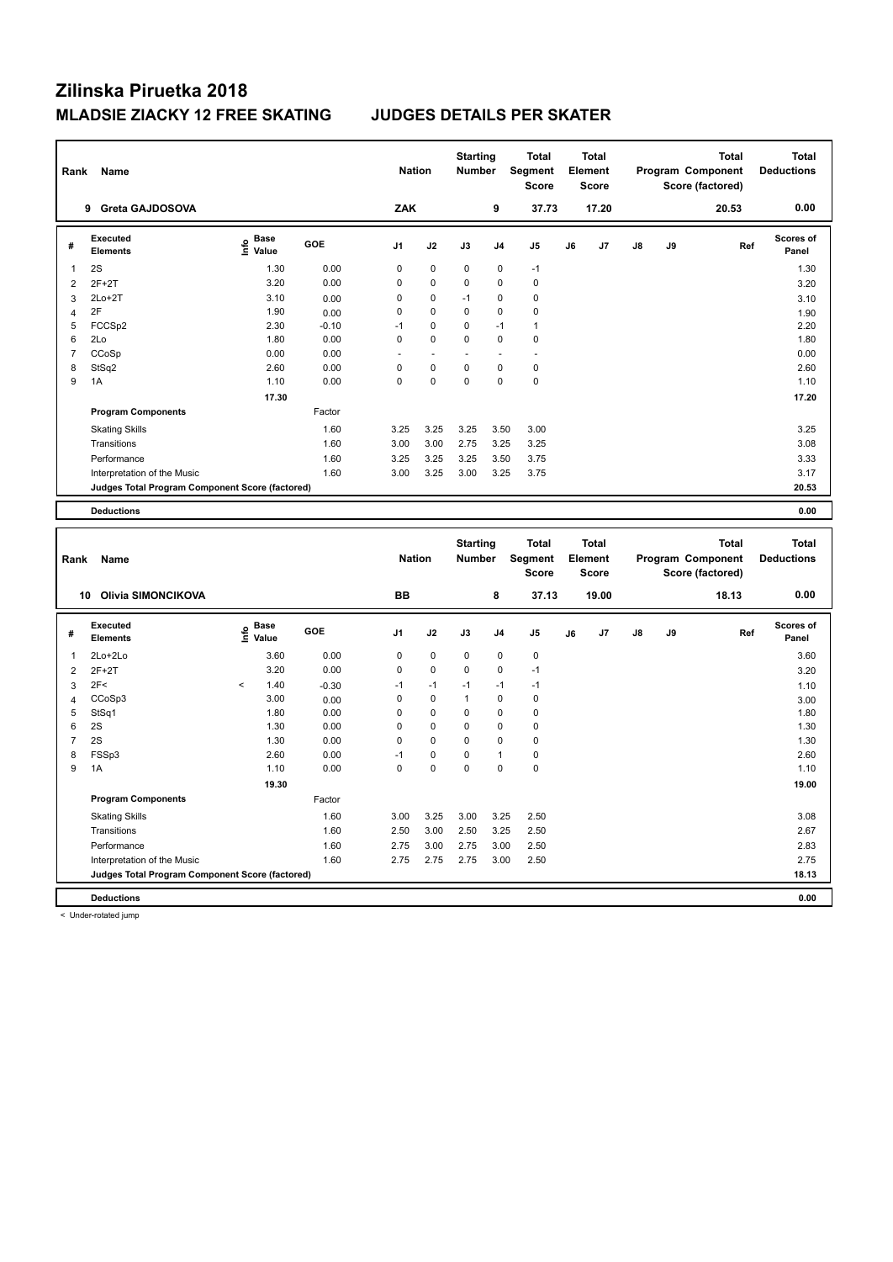| Rank           | Name                                            |                                           |         | <b>Nation</b>  |             | <b>Starting</b><br><b>Number</b> |                | <b>Total</b><br>Segment<br><b>Score</b> |    | <b>Total</b><br>Element<br>Score |    |    | <b>Total</b><br>Program Component<br>Score (factored) | <b>Total</b><br><b>Deductions</b> |
|----------------|-------------------------------------------------|-------------------------------------------|---------|----------------|-------------|----------------------------------|----------------|-----------------------------------------|----|----------------------------------|----|----|-------------------------------------------------------|-----------------------------------|
|                | 9 Greta GAJDOSOVA                               |                                           |         | ZAK            |             |                                  | 9              | 37.73                                   |    | 17.20                            |    |    | 20.53                                                 | 0.00                              |
| #              | <b>Executed</b><br><b>Elements</b>              | $\frac{e}{E}$ Base<br>$\frac{e}{E}$ Value | GOE     | J <sub>1</sub> | J2          | J3                               | J <sub>4</sub> | J5                                      | J6 | J <sub>7</sub>                   | J8 | J9 | Ref                                                   | Scores of<br>Panel                |
| 1              | 2S                                              | 1.30                                      | 0.00    | $\mathbf 0$    | $\pmb{0}$   | $\mathbf 0$                      | $\mathbf 0$    | $-1$                                    |    |                                  |    |    |                                                       | 1.30                              |
| $\overline{2}$ | $2F+2T$                                         | 3.20                                      | 0.00    | $\mathbf 0$    | 0           | $\mathbf 0$                      | $\mathbf 0$    | 0                                       |    |                                  |    |    |                                                       | 3.20                              |
| 3              | $2Lo+2T$                                        | 3.10                                      | 0.00    | $\mathbf 0$    | $\pmb{0}$   | $-1$                             | $\mathbf 0$    | 0                                       |    |                                  |    |    |                                                       | 3.10                              |
| 4              | 2F                                              | 1.90                                      | 0.00    | $\mathbf 0$    | $\pmb{0}$   | $\mathbf 0$                      | 0              | 0                                       |    |                                  |    |    |                                                       | 1.90                              |
| 5              | FCCSp2                                          | 2.30                                      | $-0.10$ | $-1$           | $\mathbf 0$ | $\mathbf 0$                      | $-1$           | $\mathbf{1}$                            |    |                                  |    |    |                                                       | 2.20                              |
| 6              | 2Lo                                             | 1.80                                      | 0.00    | $\mathbf 0$    | $\mathbf 0$ | $\mathbf 0$                      | $\mathbf 0$    | $\mathbf 0$                             |    |                                  |    |    |                                                       | 1.80                              |
| $\overline{7}$ | CCoSp                                           | 0.00                                      | 0.00    |                | L,          |                                  |                |                                         |    |                                  |    |    |                                                       | 0.00                              |
| 8              | StSq2                                           | 2.60                                      | 0.00    | $\mathbf 0$    | $\pmb{0}$   | $\mathbf 0$                      | $\mathbf 0$    | 0                                       |    |                                  |    |    |                                                       | 2.60                              |
| 9              | 1A                                              | 1.10                                      | 0.00    | $\pmb{0}$      | $\pmb{0}$   | $\mathbf 0$                      | 0              | $\pmb{0}$                               |    |                                  |    |    |                                                       | 1.10                              |
|                |                                                 | 17.30                                     |         |                |             |                                  |                |                                         |    |                                  |    |    |                                                       | 17.20                             |
|                | <b>Program Components</b>                       |                                           | Factor  |                |             |                                  |                |                                         |    |                                  |    |    |                                                       |                                   |
|                | <b>Skating Skills</b>                           |                                           | 1.60    | 3.25           | 3.25        | 3.25                             | 3.50           | 3.00                                    |    |                                  |    |    |                                                       | 3.25                              |
|                | Transitions                                     |                                           | 1.60    | 3.00           | 3.00        | 2.75                             | 3.25           | 3.25                                    |    |                                  |    |    |                                                       | 3.08                              |
|                | Performance                                     |                                           | 1.60    | 3.25           | 3.25        | 3.25                             | 3.50           | 3.75                                    |    |                                  |    |    |                                                       | 3.33                              |
|                | Interpretation of the Music                     |                                           | 1.60    | 3.00           | 3.25        | 3.00                             | 3.25           | 3.75                                    |    |                                  |    |    |                                                       | 3.17                              |
|                | Judges Total Program Component Score (factored) |                                           |         |                |             |                                  |                |                                         |    |                                  |    |    |                                                       | 20.53                             |
|                |                                                 |                                           |         |                |             |                                  |                |                                         |    |                                  |    |    |                                                       |                                   |
|                | <b>Deductions</b>                               |                                           |         |                |             |                                  |                |                                         |    |                                  |    |    |                                                       | 0.00                              |
|                |                                                 |                                           |         |                |             |                                  |                |                                         |    |                                  |    |    |                                                       |                                   |
| Rank           | Name                                            |                                           |         | <b>Nation</b>  |             | <b>Starting</b><br><b>Number</b> |                | <b>Total</b><br>Segment                 |    | <b>Total</b><br>Element          |    |    | <b>Total</b><br>Program Component                     | <b>Total</b><br><b>Deductions</b> |
|                | 10 Olivia SIMONCIKOVA                           |                                           |         | BB             |             |                                  | 8              | Score<br>37.13                          |    | <b>Score</b><br>19.00            |    |    | Score (factored)<br>18.13                             | 0.00                              |
| #              | Executed                                        |                                           | GOE     | J1             | J2          | J3                               | J4             | J5                                      | J6 | J7                               | J8 | J9 | Ref                                                   | Scores of                         |
|                | <b>Elements</b>                                 | $rac{e}{E}$ Base                          |         |                |             |                                  |                |                                         |    |                                  |    |    |                                                       | Panel                             |
| 1              | 2Lo+2Lo                                         | 3.60                                      | 0.00    | $\mathbf 0$    | $\pmb{0}$   | $\mathbf 0$                      | $\mathbf 0$    | 0                                       |    |                                  |    |    |                                                       | 3.60                              |
| $\overline{2}$ | $2F+2T$                                         | 3.20                                      | 0.00    | $\mathbf 0$    | $\pmb{0}$   | $\mathbf 0$                      | $\mathbf 0$    | $-1$                                    |    |                                  |    |    |                                                       | 3.20                              |
| 3              | 2F<                                             | $\overline{\phantom{a}}$<br>1.40          | $-0.30$ | $-1$           | $-1$        | $-1$                             | $-1$           | $-1$                                    |    |                                  |    |    |                                                       | 1.10                              |
| $\overline{4}$ | CCoSp3                                          | 3.00                                      | 0.00    | $\mathbf 0$    | $\pmb{0}$   | $\mathbf{1}$                     | $\mathbf 0$    | 0                                       |    |                                  |    |    |                                                       | 3.00                              |
| 5              | StSq1                                           | 1.80                                      | 0.00    | $\mathbf 0$    | $\mathbf 0$ | $\mathbf 0$                      | $\mathbf 0$    | 0                                       |    |                                  |    |    |                                                       | 1.80                              |
| 6              | 2S                                              | 1.30                                      | 0.00    | $\mathbf 0$    | $\pmb{0}$   | $\mathbf 0$                      | 0              | 0                                       |    |                                  |    |    |                                                       | 1.30                              |
| $\overline{7}$ | 2S                                              | 1.30                                      | 0.00    | $\mathbf 0$    | $\pmb{0}$   | $\mathbf 0$                      | $\mathbf 0$    | 0                                       |    |                                  |    |    |                                                       | 1.30                              |
| 8              | FSSp3                                           | 2.60                                      | 0.00    | $-1$           | $\pmb{0}$   | $\mathbf 0$                      | $\mathbf{1}$   | $\pmb{0}$                               |    |                                  |    |    |                                                       | 2.60                              |
| 9              | 1A                                              | 1.10                                      | 0.00    | $\mathbf 0$    | $\mathbf 0$ | $\mathbf 0$                      | $\mathbf 0$    | $\mathbf 0$                             |    |                                  |    |    |                                                       | 1.10                              |
|                |                                                 | 19.30                                     |         |                |             |                                  |                |                                         |    |                                  |    |    |                                                       | 19.00                             |
|                | <b>Program Components</b>                       |                                           | Factor  |                |             |                                  |                |                                         |    |                                  |    |    |                                                       |                                   |
|                | <b>Skating Skills</b>                           |                                           | 1.60    | 3.00           | 3.25        | 3.00                             | 3.25           | 2.50                                    |    |                                  |    |    |                                                       | 3.08                              |
|                | Transitions                                     |                                           | 1.60    | 2.50           | 3.00        | 2.50                             | 3.25           | 2.50                                    |    |                                  |    |    |                                                       | 2.67                              |
|                | Performance                                     |                                           | 1.60    | 2.75           | 3.00        | 2.75                             | 3.00           | 2.50                                    |    |                                  |    |    |                                                       | 2.83                              |
|                | Interpretation of the Music                     |                                           | 1.60    | 2.75           | 2.75        | 2.75                             | 3.00           | 2.50                                    |    |                                  |    |    |                                                       | 2.75                              |
|                | Judges Total Program Component Score (factored) |                                           |         |                |             |                                  |                |                                         |    |                                  |    |    |                                                       | 18.13                             |

< Under-rotated jump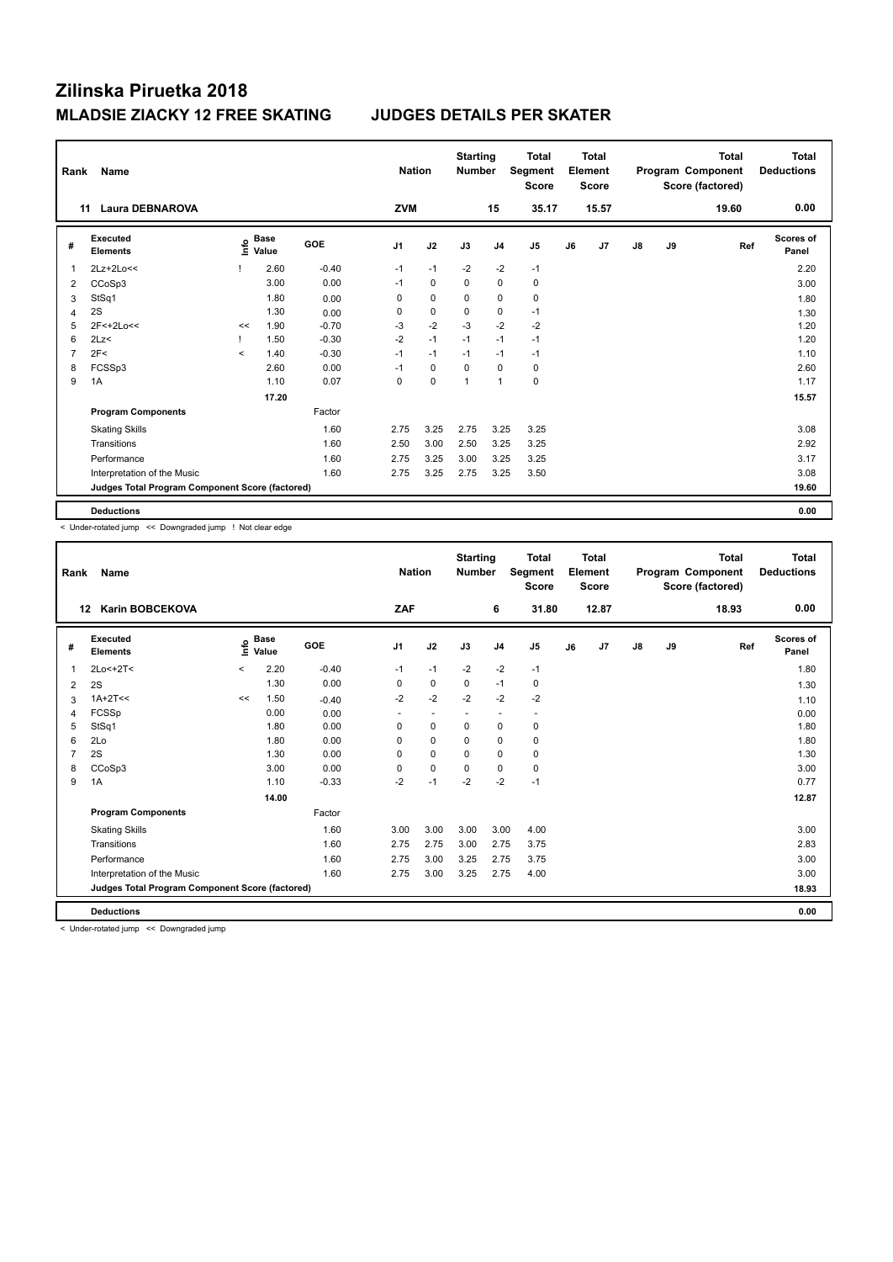| Rank           | Name<br><b>Laura DEBNAROVA</b><br>11            |         |                          |         | <b>Nation</b>  |             | <b>Starting</b><br><b>Number</b> |                | <b>Total</b><br>Segment<br><b>Score</b> |    | <b>Total</b><br>Element<br><b>Score</b> |    |    | <b>Total</b><br>Program Component<br>Score (factored) | Total<br><b>Deductions</b> |
|----------------|-------------------------------------------------|---------|--------------------------|---------|----------------|-------------|----------------------------------|----------------|-----------------------------------------|----|-----------------------------------------|----|----|-------------------------------------------------------|----------------------------|
|                |                                                 |         |                          |         | <b>ZVM</b>     |             |                                  | 15             | 35.17                                   |    | 15.57                                   |    |    | 19.60                                                 | 0.00                       |
| #              | Executed<br><b>Elements</b>                     | έ       | $_{\circ}$ Base<br>Value | GOE     | J <sub>1</sub> | J2          | J3                               | J <sub>4</sub> | J <sub>5</sub>                          | J6 | J7                                      | J8 | J9 | Ref                                                   | <b>Scores of</b><br>Panel  |
|                | $2Lz+2Lo<<$                                     |         | 2.60                     | $-0.40$ | $-1$           | $-1$        | $-2$                             | $-2$           | $-1$                                    |    |                                         |    |    |                                                       | 2.20                       |
| 2              | CCoSp3                                          |         | 3.00                     | 0.00    | $-1$           | 0           | 0                                | $\mathbf 0$    | 0                                       |    |                                         |    |    |                                                       | 3.00                       |
| 3              | StSq1                                           |         | 1.80                     | 0.00    | $\Omega$       | $\mathbf 0$ | 0                                | $\mathbf 0$    | $\mathbf 0$                             |    |                                         |    |    |                                                       | 1.80                       |
| $\overline{4}$ | 2S                                              |         | 1.30                     | 0.00    | 0              | 0           | 0                                | $\mathbf 0$    | $-1$                                    |    |                                         |    |    |                                                       | 1.30                       |
| 5              | 2F<+2Lo<<                                       | <<      | 1.90                     | $-0.70$ | $-3$           | $-2$        | $-3$                             | $-2$           | $-2$                                    |    |                                         |    |    |                                                       | 1.20                       |
| 6              | 2Lz                                             |         | 1.50                     | $-0.30$ | $-2$           | $-1$        | $-1$                             | $-1$           | $-1$                                    |    |                                         |    |    |                                                       | 1.20                       |
| 7              | 2F<                                             | $\prec$ | 1.40                     | $-0.30$ | $-1$           | $-1$        | $-1$                             | $-1$           | $-1$                                    |    |                                         |    |    |                                                       | 1.10                       |
| 8              | FCSSp3                                          |         | 2.60                     | 0.00    | $-1$           | 0           | 0                                | $\Omega$       | $\mathbf 0$                             |    |                                         |    |    |                                                       | 2.60                       |
| 9              | 1A                                              |         | 1.10                     | 0.07    | $\mathbf 0$    | 0           | $\mathbf{1}$                     | $\overline{1}$ | $\mathbf 0$                             |    |                                         |    |    |                                                       | 1.17                       |
|                |                                                 |         | 17.20                    |         |                |             |                                  |                |                                         |    |                                         |    |    |                                                       | 15.57                      |
|                | <b>Program Components</b>                       |         |                          | Factor  |                |             |                                  |                |                                         |    |                                         |    |    |                                                       |                            |
|                | <b>Skating Skills</b>                           |         |                          | 1.60    | 2.75           | 3.25        | 2.75                             | 3.25           | 3.25                                    |    |                                         |    |    |                                                       | 3.08                       |
|                | Transitions                                     |         |                          | 1.60    | 2.50           | 3.00        | 2.50                             | 3.25           | 3.25                                    |    |                                         |    |    |                                                       | 2.92                       |
|                | Performance                                     |         |                          | 1.60    | 2.75           | 3.25        | 3.00                             | 3.25           | 3.25                                    |    |                                         |    |    |                                                       | 3.17                       |
|                | Interpretation of the Music                     |         |                          | 1.60    | 2.75           | 3.25        | 2.75                             | 3.25           | 3.50                                    |    |                                         |    |    |                                                       | 3.08                       |
|                | Judges Total Program Component Score (factored) |         |                          |         |                |             |                                  |                |                                         |    |                                         |    |    |                                                       | 19.60                      |
|                | <b>Deductions</b>                               |         |                          |         |                |             |                                  |                |                                         |    |                                         |    |    |                                                       | 0.00                       |

< Under-rotated jump << Downgraded jump ! Not clear edge

| Rank | <b>Name</b>                                     |         |                      |            | <b>Nation</b>  |                          | <b>Starting</b><br><b>Number</b> |                          | <b>Total</b><br>Segment<br><b>Score</b> |    | <b>Total</b><br>Element<br><b>Score</b> |               |    | <b>Total</b><br>Program Component<br>Score (factored) | <b>Total</b><br><b>Deductions</b> |
|------|-------------------------------------------------|---------|----------------------|------------|----------------|--------------------------|----------------------------------|--------------------------|-----------------------------------------|----|-----------------------------------------|---------------|----|-------------------------------------------------------|-----------------------------------|
| 12   | <b>Karin BOBCEKOVA</b>                          |         |                      |            | ZAF            |                          |                                  | 6                        | 31.80                                   |    | 12.87                                   |               |    | 18.93                                                 | 0.00                              |
| #    | Executed<br><b>Elements</b>                     | e       | <b>Base</b><br>Value | <b>GOE</b> | J <sub>1</sub> | J2                       | J3                               | J <sub>4</sub>           | J5                                      | J6 | J7                                      | $\mathsf{J}8$ | J9 | Ref                                                   | <b>Scores of</b><br>Panel         |
| 1    | 2Lo<+2T<                                        | $\prec$ | 2.20                 | $-0.40$    | $-1$           | $-1$                     | $-2$                             | $-2$                     | $-1$                                    |    |                                         |               |    |                                                       | 1.80                              |
| 2    | 2S                                              |         | 1.30                 | 0.00       | 0              | $\mathbf 0$              | $\mathbf 0$                      | $-1$                     | 0                                       |    |                                         |               |    |                                                       | 1.30                              |
| 3    | $1A+2T<<$                                       | <<      | 1.50                 | $-0.40$    | $-2$           | $-2$                     | $-2$                             | $-2$                     | $-2$                                    |    |                                         |               |    |                                                       | 1.10                              |
| 4    | FCSSp                                           |         | 0.00                 | 0.00       | ٠              | $\overline{\phantom{a}}$ | ٠                                | $\overline{\phantom{a}}$ | $\overline{\phantom{a}}$                |    |                                         |               |    |                                                       | 0.00                              |
| 5    | StSq1                                           |         | 1.80                 | 0.00       | 0              | $\mathbf 0$              | 0                                | $\pmb{0}$                | 0                                       |    |                                         |               |    |                                                       | 1.80                              |
| 6    | 2Lo                                             |         | 1.80                 | 0.00       | 0              | $\mathbf 0$              | 0                                | 0                        | 0                                       |    |                                         |               |    |                                                       | 1.80                              |
| 7    | 2S                                              |         | 1.30                 | 0.00       | $\Omega$       | $\mathbf 0$              | $\Omega$                         | $\mathbf 0$              | 0                                       |    |                                         |               |    |                                                       | 1.30                              |
| 8    | CCoSp3                                          |         | 3.00                 | 0.00       | 0              | $\mathbf 0$              | $\Omega$                         | 0                        | 0                                       |    |                                         |               |    |                                                       | 3.00                              |
| 9    | 1A                                              |         | 1.10                 | $-0.33$    | $-2$           | $-1$                     | $-2$                             | $-2$                     | $-1$                                    |    |                                         |               |    |                                                       | 0.77                              |
|      |                                                 |         | 14.00                |            |                |                          |                                  |                          |                                         |    |                                         |               |    |                                                       | 12.87                             |
|      | <b>Program Components</b>                       |         |                      | Factor     |                |                          |                                  |                          |                                         |    |                                         |               |    |                                                       |                                   |
|      | <b>Skating Skills</b>                           |         |                      | 1.60       | 3.00           | 3.00                     | 3.00                             | 3.00                     | 4.00                                    |    |                                         |               |    |                                                       | 3.00                              |
|      | Transitions                                     |         |                      | 1.60       | 2.75           | 2.75                     | 3.00                             | 2.75                     | 3.75                                    |    |                                         |               |    |                                                       | 2.83                              |
|      | Performance                                     |         |                      | 1.60       | 2.75           | 3.00                     | 3.25                             | 2.75                     | 3.75                                    |    |                                         |               |    |                                                       | 3.00                              |
|      | Interpretation of the Music                     |         |                      | 1.60       | 2.75           | 3.00                     | 3.25                             | 2.75                     | 4.00                                    |    |                                         |               |    |                                                       | 3.00                              |
|      | Judges Total Program Component Score (factored) |         |                      |            |                |                          |                                  |                          |                                         |    |                                         |               |    |                                                       | 18.93                             |
|      | <b>Deductions</b>                               |         |                      |            |                |                          |                                  |                          |                                         |    |                                         |               |    |                                                       | 0.00                              |

< Under-rotated jump << Downgraded jump